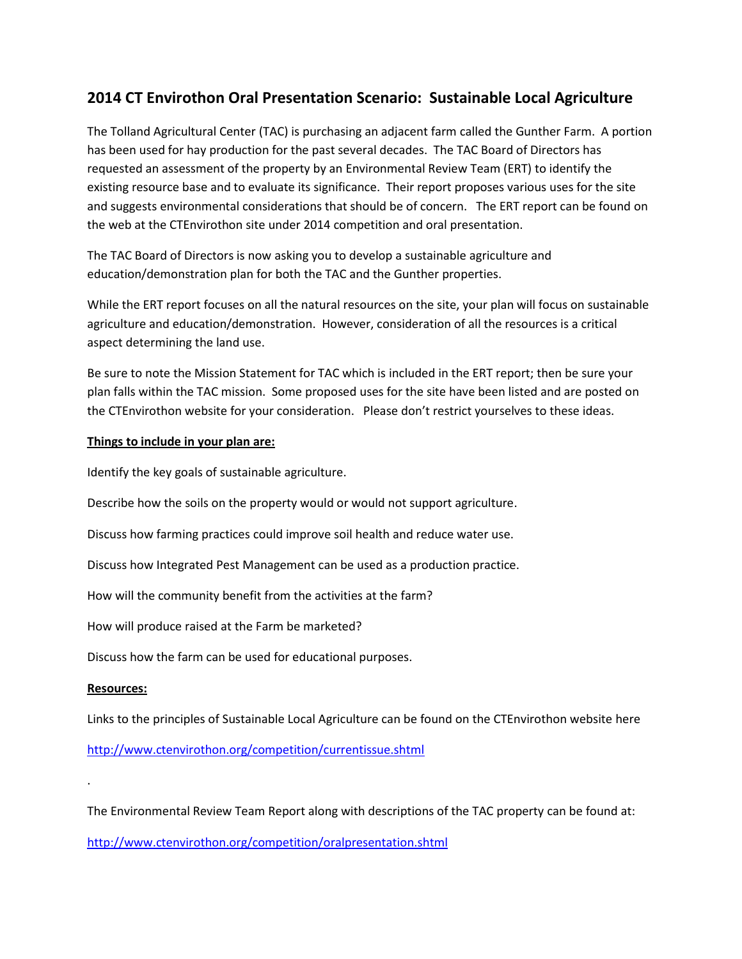## **2014 CT Envirothon Oral Presentation Scenario: Sustainable Local Agriculture**

The Tolland Agricultural Center (TAC) is purchasing an adjacent farm called the Gunther Farm. A portion has been used for hay production for the past several decades. The TAC Board of Directors has requested an assessment of the property by an Environmental Review Team (ERT) to identify the existing resource base and to evaluate its significance. Their report proposes various uses for the site and suggests environmental considerations that should be of concern. The ERT report can be found on the web at the CTEnvirothon site under 2014 competition and oral presentation.

The TAC Board of Directors is now asking you to develop a sustainable agriculture and education/demonstration plan for both the TAC and the Gunther properties.

While the ERT report focuses on all the natural resources on the site, your plan will focus on sustainable agriculture and education/demonstration. However, consideration of all the resources is a critical aspect determining the land use.

Be sure to note the Mission Statement for TAC which is included in the ERT report; then be sure your plan falls within the TAC mission. Some proposed uses for the site have been listed and are posted on the CTEnvirothon website for your consideration. Please don't restrict yourselves to these ideas.

## **Things to include in your plan are:**

Identify the key goals of sustainable agriculture.

Describe how the soils on the property would or would not support agriculture.

Discuss how farming practices could improve soil health and reduce water use.

Discuss how Integrated Pest Management can be used as a production practice.

How will the community benefit from the activities at the farm?

How will produce raised at the Farm be marketed?

Discuss how the farm can be used for educational purposes.

## **Resources:**

.

Links to the principles of Sustainable Local Agriculture can be found on the CTEnvirothon website here

<http://www.ctenvirothon.org/competition/currentissue.shtml>

The Environmental Review Team Report along with descriptions of the TAC property can be found at:

<http://www.ctenvirothon.org/competition/oralpresentation.shtml>